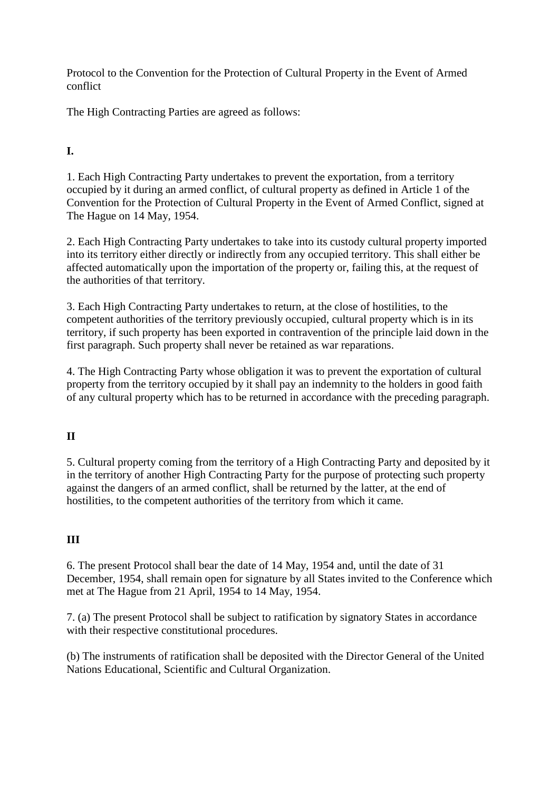Protocol to the Convention for the Protection of Cultural Property in the Event of Armed conflict

The High Contracting Parties are agreed as follows:

## **I.**

1. Each High Contracting Party undertakes to prevent the exportation, from a territory occupied by it during an armed conflict, of cultural property as defined in Article 1 of the Convention for the Protection of Cultural Property in the Event of Armed Conflict, signed at The Hague on 14 May, 1954.

2. Each High Contracting Party undertakes to take into its custody cultural property imported into its territory either directly or indirectly from any occupied territory. This shall either be affected automatically upon the importation of the property or, failing this, at the request of the authorities of that territory.

3. Each High Contracting Party undertakes to return, at the close of hostilities, to the competent authorities of the territory previously occupied, cultural property which is in its territory, if such property has been exported in contravention of the principle laid down in the first paragraph. Such property shall never be retained as war reparations.

4. The High Contracting Party whose obligation it was to prevent the exportation of cultural property from the territory occupied by it shall pay an indemnity to the holders in good faith of any cultural property which has to be returned in accordance with the preceding paragraph.

## **II**

5. Cultural property coming from the territory of a High Contracting Party and deposited by it in the territory of another High Contracting Party for the purpose of protecting such property against the dangers of an armed conflict, shall be returned by the latter, at the end of hostilities, to the competent authorities of the territory from which it came.

## **III**

6. The present Protocol shall bear the date of 14 May, 1954 and, until the date of 31 December, 1954, shall remain open for signature by all States invited to the Conference which met at The Hague from 21 April, 1954 to 14 May, 1954.

7. (a) The present Protocol shall be subject to ratification by signatory States in accordance with their respective constitutional procedures.

(b) The instruments of ratification shall be deposited with the Director General of the United Nations Educational, Scientific and Cultural Organization.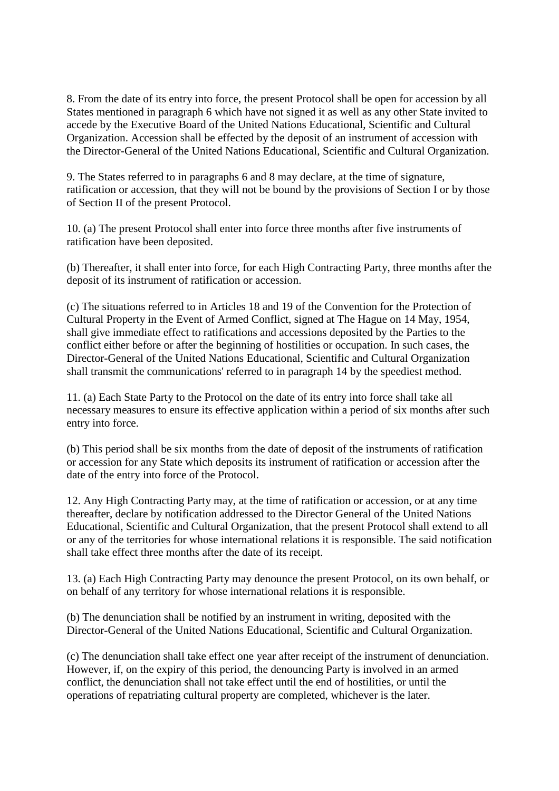8. From the date of its entry into force, the present Protocol shall be open for accession by all States mentioned in paragraph 6 which have not signed it as well as any other State invited to accede by the Executive Board of the United Nations Educational, Scientific and Cultural Organization. Accession shall be effected by the deposit of an instrument of accession with the Director-General of the United Nations Educational, Scientific and Cultural Organization.

9. The States referred to in paragraphs 6 and 8 may declare, at the time of signature, ratification or accession, that they will not be bound by the provisions of Section I or by those of Section II of the present Protocol.

10. (a) The present Protocol shall enter into force three months after five instruments of ratification have been deposited.

(b) Thereafter, it shall enter into force, for each High Contracting Party, three months after the deposit of its instrument of ratification or accession.

(c) The situations referred to in Articles 18 and 19 of the Convention for the Protection of Cultural Property in the Event of Armed Conflict, signed at The Hague on 14 May, 1954, shall give immediate effect to ratifications and accessions deposited by the Parties to the conflict either before or after the beginning of hostilities or occupation. In such cases, the Director-General of the United Nations Educational, Scientific and Cultural Organization shall transmit the communications' referred to in paragraph 14 by the speediest method.

11. (a) Each State Party to the Protocol on the date of its entry into force shall take all necessary measures to ensure its effective application within a period of six months after such entry into force.

(b) This period shall be six months from the date of deposit of the instruments of ratification or accession for any State which deposits its instrument of ratification or accession after the date of the entry into force of the Protocol.

12. Any High Contracting Party may, at the time of ratification or accession, or at any time thereafter, declare by notification addressed to the Director General of the United Nations Educational, Scientific and Cultural Organization, that the present Protocol shall extend to all or any of the territories for whose international relations it is responsible. The said notification shall take effect three months after the date of its receipt.

13. (a) Each High Contracting Party may denounce the present Protocol, on its own behalf, or on behalf of any territory for whose international relations it is responsible.

(b) The denunciation shall be notified by an instrument in writing, deposited with the Director-General of the United Nations Educational, Scientific and Cultural Organization.

(c) The denunciation shall take effect one year after receipt of the instrument of denunciation. However, if, on the expiry of this period, the denouncing Party is involved in an armed conflict, the denunciation shall not take effect until the end of hostilities, or until the operations of repatriating cultural property are completed, whichever is the later.